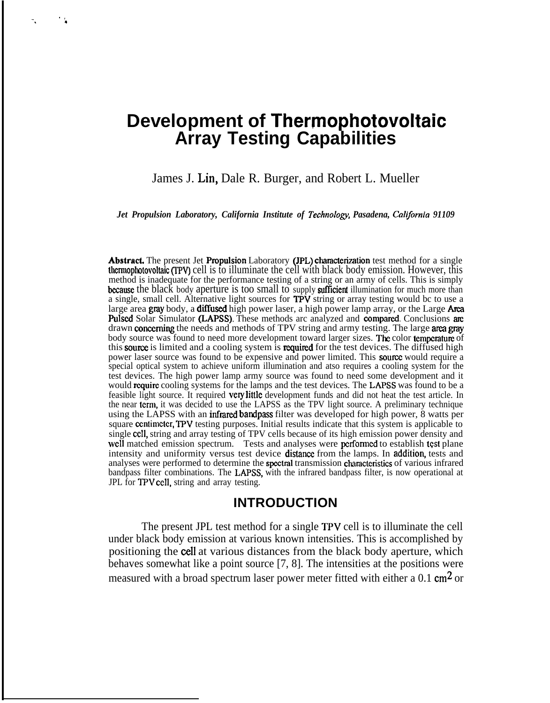# **Development of Thermophotovoltaic Array Testing Capabilities**

., -. .

James J. Lin, Dale R. Burger, and Robert L. Mueller

*Jet Propulsion Laboratory, California Institute of Technolo~, Pasadena, CaIfomia 91109*

Abstract. The present Jet Propulsion Laboratory (JPL) characterization test method for a single thermophotovoltaic (TPV) cell is to illuminate the cell with black body emission. However, this method is inadequate for the performance testing of a string or an army of cells. This is simply because the black body aperture is too small to supply sufficient illumination for much more than a single, small cell. Alternative light sources for  $TPV$  string or array testing would bc to use a large area gray body, a diffused high power laser, a high power lamp array, or the Large Area Pulsed Solar Simulator (LAPSS). These methods arc analyzed and compared. Conclusions are drawn concerning the needs and methods of TPV string and army testing. The large area gray body source was found to need more development toward larger sizes. The color temperature of this source is limited and a cooling system is required for the test devices. The diffused high power laser source was found to be expensive and power limited. This source would require a special optical system to achieve uniform illumination and atso requires a cooling system for the test devices. The high power lamp army source was found to need some development and it would require cooling systems for the lamps and the test devices. The LAPSS was found to be a feasible light source. It required very little development funds and did not heat the test article. In the near term, it was decided to use the LAPSS as the TPV light source. A preliminary technique using the LAPSS with an infrared bandpass filter was developed for high power, 8 watts per square centimeter, TPV testing purposes. Initial results indicate that this system is applicable to single ccl], string and array testing of TPV cells because of its high emission power density and well matched emission spectrum. Tests and analyses were performed to establish test plane intensity and uniformity versus test device distance from the lamps. In addition, tests and analyses were performed to determine the spectral transmission characteristics of various infrared bandpass filter combinations. The LAPSS, with the infrared bandpass filter, is now operational at JPL for TPV CCII, string and array testing.

### **INTRODUCTION**

The present JPL test method for a single TPV cell is to illuminate the cell under black body emission at various known intensities. This is accomplished by positioning the cell at various distances from the black body aperture, which behaves somewhat like a point source [7, 8]. The intensities at the positions were measured with a broad spectrum laser power meter fitted with either a 0.1  $\text{cm}^2$  or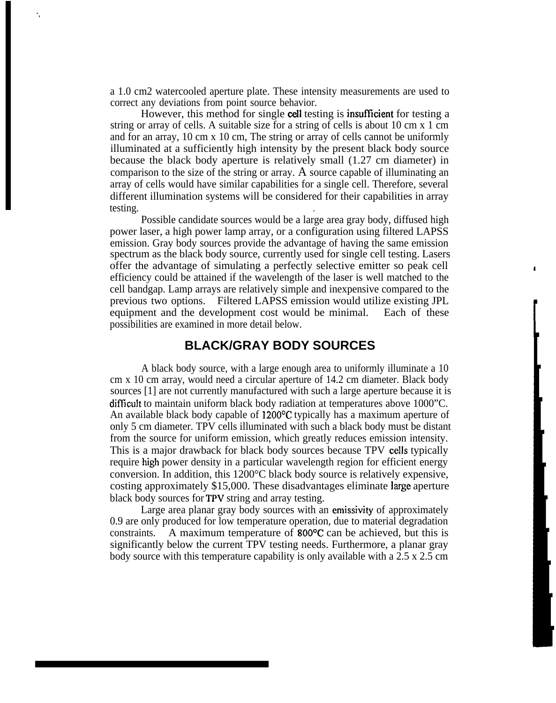a 1.0 cm2 watercooled aperture plate. These intensity measurements are used to correct any deviations from point source behavior.

**",**

However, this method for single cell testing is insufficient for testing a string or array of cells. A suitable size for a string of cells is about 10 cm x 1 cm and for an array, 10 cm x 10 cm, The string or array of cells cannot be uniformly illuminated at a sufficiently high intensity by the present black body source because the black body aperture is relatively small (1.27 cm diameter) in comparison to the size of the string or array. A source capable of illuminating an array of cells would have similar capabilities for a single cell. Therefore, several different illumination systems will be considered for their capabilities in array testing. .

Possible candidate sources would be a large area gray body, diffused high power laser, a high power lamp array, or a configuration using filtered LAPSS emission. Gray body sources provide the advantage of having the same emission spectrum as the black body source, currently used for single cell testing. Lasers offer the advantage of simulating a perfectly selective emitter so peak cell efficiency could be attained if the wavelength of the laser is well matched to the cell bandgap. Lamp arrays are relatively simple and inexpensive compared to the previous two options. Filtered LAPSS emission would utilize existing JPL equipment and the development cost would be minimal. Each of these possibilities are examined in more detail below.

### **BLACK/GRAY BODY SOURCES**

A black body source, with a large enough area to uniformly illuminate a 10 cm x 10 cm array, would need a circular aperture of 14.2 cm diameter. Black body sources [1] are not currently manufactured with such a large aperture because it is difficult to maintain uniform black body radiation at temperatures above 1000"C. An available black body capable of 1200°C typically has a maximum aperture of only 5 cm diameter. TPV cells illuminated with such a black body must be distant from the source for uniform emission, which greatly reduces emission intensity. This is a major drawback for black body sources because TPV cells typically require high power density in a particular wavelength region for efficient energy conversion. In addition, this 1200°C black body source is relatively expensive, costing approximately \$15,000. These disadvantages eliminate large aperture black body sources for TPV string and array testing.

Large area planar gray body sources with an emissivity of approximately 0.9 are only produced for low temperature operation, due to material degradation constraints. A maximum temperature of 800°C can be achieved, but this is significantly below the current TPV testing needs. Furthermore, a planar gray body source with this temperature capability is only available with a 2.5 x 2.5 cm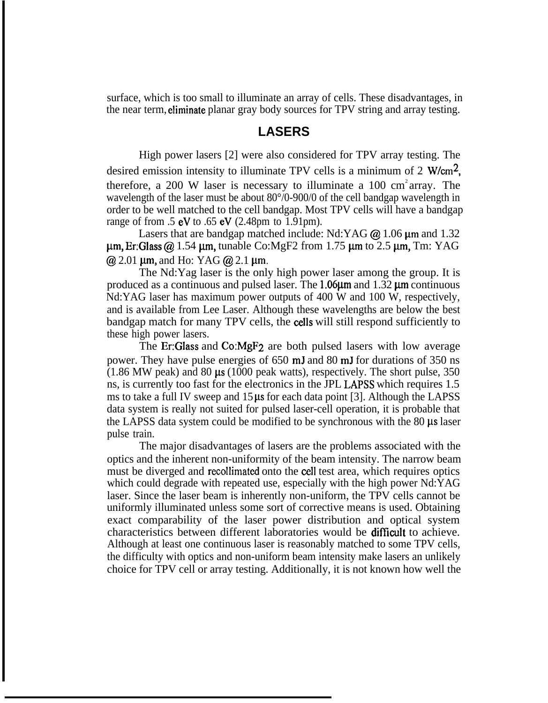surface, which is too small to illuminate an array of cells. These disadvantages, in the near term, eliminate planar gray body sources for TPV string and array testing.

#### **LASERS**

High power lasers [2] were also considered for TPV array testing. The desired emission intensity to illuminate TPV cells is a minimum of 2 W/cm<sup>2</sup>, therefore, a  $200 \text{ W}$  laser is necessary to illuminate a  $100 \text{ cm}^2$  array. The wavelength of the laser must be about 80°/0-900/0 of the cell bandgap wavelength in order to be well matched to the cell bandgap. Most TPV cells will have a bandgap range of from .5  $eV$  to .65  $eV$  (2.48pm to 1.91pm).

Lasers that are bandgap matched include: Nd:YAG  $\omega$  1.06  $\mu$ m and 1.32  $\mu$ m, Er:Glass @ 1.54  $\mu$ m, tunable Co:MgF2 from 1.75  $\mu$ m to 2.5  $\mu$ m, Tm: YAG  $@{2.01}$  µm, and Ho: YAG  $@{2.1}$  µm.

The Nd:Yag laser is the only high power laser among the group. It is produced as a continuous and pulsed laser. The  $1.06 \mu m$  and  $1.32 \mu m$  continuous Nd:YAG laser has maximum power outputs of 400 W and 100 W, respectively, and is available from Lee Laser. Although these wavelengths are below the best bandgap match for many TPV cells, the cells will still respond sufficiently to these high power lasers.

The Er:Glass and Co:MgF2 are both pulsed lasers with low average power. They have pulse energies of 650 mJ and 80 mJ for durations of 350 ns (1.86 MW peak) and 80  $\mu$ s (1000 peak watts), respectively. The short pulse, 350 ns, is currently too fast for the electronics in the JPL LAPSS which requires 1.5 ms to take a full IV sweep and 15 us for each data point [3]. Although the LAPSS data system is really not suited for pulsed laser-cell operation, it is probable that the LAPSS data system could be modified to be synchronous with the  $80 \mu s$  laser pulse train.

The major disadvantages of lasers are the problems associated with the optics and the inherent non-uniformity of the beam intensity. The narrow beam must be diverged and recollimated onto the cell test area, which requires optics which could degrade with repeated use, especially with the high power  $Nd:\hat{Y}AG$ laser. Since the laser beam is inherently non-uniform, the TPV cells cannot be uniformly illuminated unless some sort of corrective means is used. Obtaining exact comparability of the laser power distribution and optical system characteristics between different laboratories would be **difficult** to achieve. Although at least one continuous laser is reasonably matched to some TPV cells, the difficulty with optics and non-uniform beam intensity make lasers an unlikely choice for TPV cell or array testing. Additionally, it is not known how well the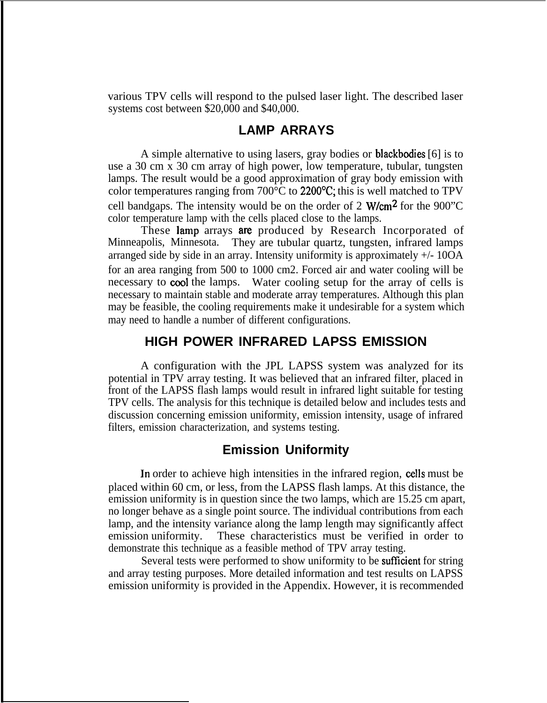various TPV cells will respond to the pulsed laser light. The described laser systems cost between \$20,000 and \$40,000.

### **LAMP ARRAYS**

A simple alternative to using lasers, gray bodies or blackbodies [6] is to use a 30 cm  $\bar{x}$  30 cm array of high power, low temperature, tubular, tungsten lamps. The result would be a good approximation of gray body emission with color temperatures ranging from 700°C to 2200°C; this is well matched to TPV cell bandgaps. The intensity would be on the order of 2 W/cm2 for the 900"C color temperature lamp with the cells placed close to the lamps.

These lamp arrays are produced by Research Incorporated of Minneapolis, Minnesota. They are tubular quartz, tungsten, infrared lamps arranged side by side in an array. Intensity uniformity is approximately +/- 10OA for an area ranging from 500 to 1000 cm2. Forced air and water cooling will be necessary to cool the lamps. Water cooling setup for the array of cells is necessary to maintain stable and moderate array temperatures. Although this plan may be feasible, the cooling requirements make it undesirable for a system which may need to handle a number of different configurations.

# **HIGH POWER INFRARED LAPSS EMISSION**

A configuration with the JPL LAPSS system was analyzed for its potential in TPV array testing. It was believed that an infrared filter, placed in front of the LAPSS flash lamps would result in infrared light suitable for testing TPV cells. The analysis for this technique is detailed below and includes tests and discussion concerning emission uniformity, emission intensity, usage of infrared filters, emission characterization, and systems testing.

# **Emission Uniformity**

In order to achieve high intensities in the infrared region, cells must be placed within 60 cm, or less, from the LAPSS flash lamps. At this distance, the emission uniformity is in question since the two lamps, which are 15.25 cm apart, no longer behave as a single point source. The individual contributions from each lamp, and the intensity variance along the lamp length may significantly affect emission uniformity. These characteristics must be verified in order to demonstrate this technique as a feasible method of TPV array testing.

Several tests were performed to show uniformity to be sufficient for string and array testing purposes. More detailed information and test results on LAPSS emission uniformity is provided in the Appendix. However, it is recommended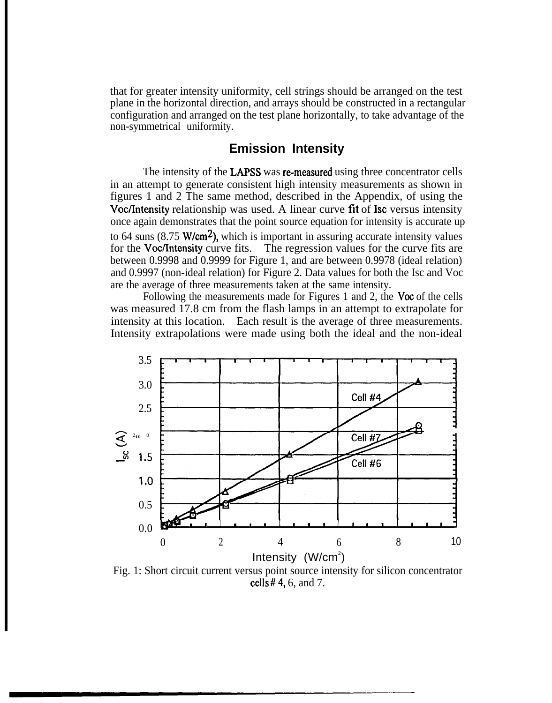that for greater intensity uniformity, cell strings should be arranged on the test plane in the horizontal direction, and arrays should be constructed in a rectangular configuration and arranged on the test plane horizontally, to take advantage of the non-symmetrical uniformity.

### **Emission Intensity**

The intensity of the LAPSS was re-measured using three concentrator cells in an attempt to generate consistent high intensity measurements as shown in figures 1 and 2 The same method, described in the Appendix, of using the Voc/Intensity relationship was used. A linear curve fit of Isc versus intensity once again demonstrates that the point source equation for intensity is accurate up to 64 suns (8.75 W/cm<sup>2</sup>), which is important in assuring accurate intensity values for the Voc/Intensity curve fits. The regression values for the curve fits are between 0.9998 and 0.9999 for Figure 1, and are between 0.9978 (ideal relation) and 0.9997 (non-ideal relation) for Figure 2. Data values for both the Isc and Voc are the average of three measurements taken at the same intensity.

Following the measurements made for Figures 1 and 2, the  $Voc$  of the cells was measured 17.8 cm from the flash lamps in an attempt to extrapolate for intensity at this location. Each result is the average of three measurements. Intensity extrapolations were made using both the ideal and the non-ideal



Fig. 1: Short circuit current versus point source intensity for silicon concentrator cells  $#4, 6,$  and 7.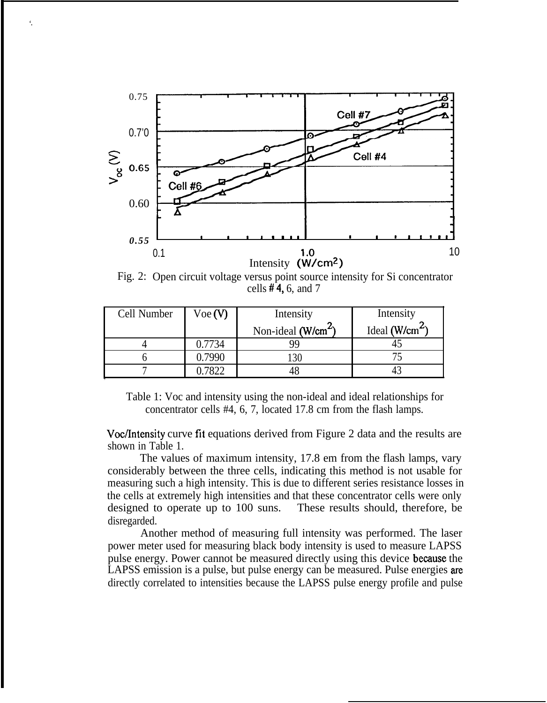

**'.**

Fig. 2: Open circuit voltage versus point source intensity for Si concentrator cells  $#$  4, 6, and 7

| Cell Number | $\mathrm{Vec}\left(\mathrm{V}\right)$ | Intensity            | Intensity        |
|-------------|---------------------------------------|----------------------|------------------|
|             |                                       | Non-ideal $(W/cm^2)$ | Ideal $(W/cm^2)$ |
|             | 0.7734                                |                      |                  |
|             | 0.7990                                |                      |                  |
|             | 7822                                  |                      |                  |

Table 1: Voc and intensity using the non-ideal and ideal relationships for concentrator cells #4, 6, 7, located 17.8 cm from the flash lamps.

Voc/Intensity curve fit equations derived from Figure 2 data and the results are shown in Table 1.

The values of maximum intensity, 17.8 em from the flash lamps, vary considerably between the three cells, indicating this method is not usable for measuring such a high intensity. This is due to different series resistance losses in the cells at extremely high intensities and that these concentrator cells were only designed to operate up to 100 suns. These results should, therefore, be disregarded.

Another method of measuring full intensity was performed. The laser power meter used for measuring black body intensity is used to measure LAPSS pulse energy. Power cannot be measured directly using this device beeause the LAPSS emission is a pulse, but pulse energy can be measured. Pulse energies are directly correlated to intensities because the LAPSS pulse energy profile and pulse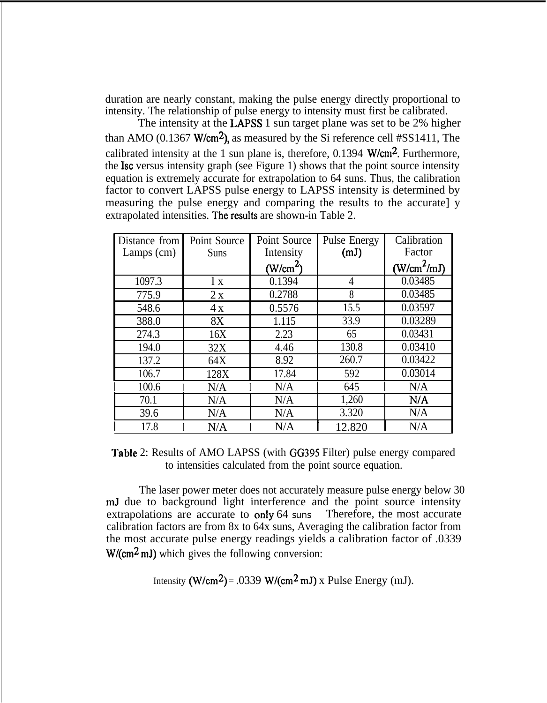duration are nearly constant, making the pulse energy directly proportional to intensity. The relationship of pulse energy to intensity must first be calibrated.

The intensity at the **LAPSS** 1 sun target plane was set to be 2% higher than AMO (0.1367 W/cm2), as measured by the Si reference cell #SS1411, The calibrated intensity at the 1 sun plane is, therefore, 0.1394 W/cm2. Furthermore, the Isc versus intensity graph (see Figure 1) shows that the point source intensity equation is extremely accurate for extrapolation to 64 suns. Thus, the calibration factor to convert LAPSS pulse energy to LAPSS intensity is determined by measuring the pulse energy and comparing the results to the accurate] y extrapolated intensities. The results are shown-in Table 2.

| Distance from | Point Source | Point Source         | Pulse Energy | Calibration             |
|---------------|--------------|----------------------|--------------|-------------------------|
| Lamps $(cm)$  | Suns         | Intensity            | (mJ)         | Factor                  |
|               |              | (W/cm <sup>2</sup> ) |              | (W/cm <sup>2</sup> /mJ) |
| 1097.3        | 1 x          | 0.1394               | 4            | 0.03485                 |
| 775.9         | 2x           | 0.2788               | 8            | 0.03485                 |
| 548.6         | 4x           | 0.5576               | 15.5         | 0.03597                 |
| 388.0         | 8X           | 1.115                | 33.9         | 0.03289                 |
| 274.3         | 16X          | 2.23                 | 65           | 0.03431                 |
| 194.0         | 32X          | 4.46                 | 130.8        | 0.03410                 |
| 137.2         | 64X          | 8.92                 | 260.7        | 0.03422                 |
| 106.7         | 128X         | 17.84                | 592          | 0.03014                 |
| 100.6         | N/A          | N/A                  | 645          | N/A                     |
| 70.1          | N/A          | N/A                  | 1,260        | N/A                     |
| 39.6          | N/A          | N/A                  | 3.320        | N/A                     |
| 17.8          | N/A          | N/A                  | 12.820       | N/A                     |

Table 2: Results of AMO LAPSS (with GG395 Filter) pulse energy compared to intensities calculated from the point source equation.

The laser power meter does not accurately measure pulse energy below 30 mJ due to background light interference and the point source intensity extrapolations are accurate to only 64 suns Therefore, the most accurate calibration factors are from 8x to 64x suns, Averaging the calibration factor from the most accurate pulse energy readings yields a calibration factor of .0339 W/(cm<sup>2</sup> mJ) which gives the following conversion:

Intensity  $(W/cm<sup>2</sup>) = .0339 W/(cm<sup>2</sup> mJ)$  x Pulse Energy (mJ).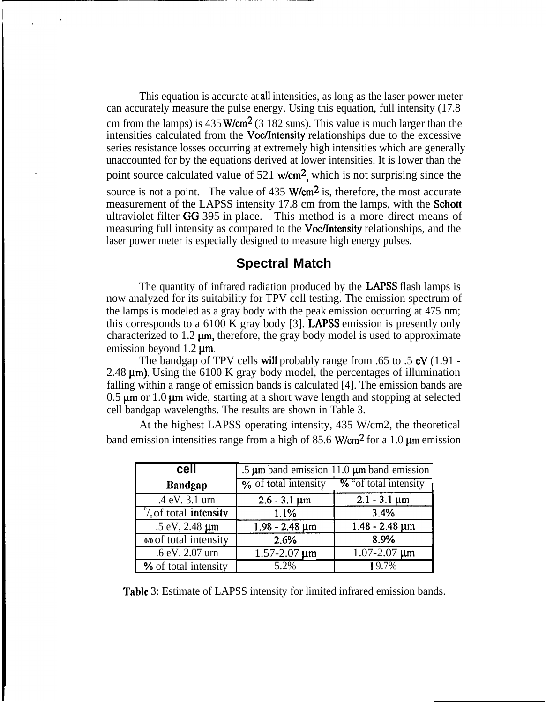This equation is accurate at all intensities, as long as the laser power meter can accurately measure the pulse energy. Using this equation, full intensity (17.8) cm from the lamps) is  $435 \text{W/cm}^2$  (3 182 suns). This value is much larger than the intensities calculated from the Voc/Intensity relationships due to the excessive series resistance losses occurring at extremely high intensities which are generally unaccounted for by the equations derived at lower intensities. It is lower than the point source calculated value of 521 w/cm<sup>2</sup>, which is not surprising since the source is not a point. The value of  $435 \text{ W/cm}^2$  is, therefore, the most accurate measurement of the LAPSS intensity 17.8 cm from the lamps, with the Schott ultraviolet filter GG 395 in place. This method is a more direct means of measuring full intensity as compared to the Voc/Intensity relationships, and the laser power meter is especially designed to measure high energy pulses.

### **Spectral Match**

The quantity of infrared radiation produced by the LAPSS flash lamps is now analyzed for its suitability for TPV cell testing. The emission spectrum of the lamps is modeled as a gray body with the peak emission occurring at 475 nm; this corresponds to a 6100 K gray body [3]. LAPSS emission is presently only characterized to  $1.2 \mu m$ , therefore, the gray body model is used to approximate emission beyond  $1.2 \text{ µm}$ .

The bandgap of TPV cells will probably range from .65 to .5 eV (1.91 - 2.48  $\mu$ m). Using the 6100 K gray body model, the percentages of illumination falling within a range of emission bands is calculated [4]. The emission bands are  $0.5 \mu m$  or 1.0  $\mu m$  wide, starting at a short wave length and stopping at selected cell bandgap wavelengths. The results are shown in Table 3.

At the highest LAPSS operating intensity, 435 W/cm2, the theoretical band emission intensities range from a high of 85.6 W/cm<sup>2</sup> for a 1.0  $\mu$ m emission

| cell                             | .5 $\mu$ m band emission 11.0 $\mu$ m band emission |                        |  |  |
|----------------------------------|-----------------------------------------------------|------------------------|--|--|
| <b>Bandgap</b>                   | $\frac{6}{6}$ of total intensity                    | % "of total intensity" |  |  |
| .4 eV. 3.1 urn                   | $2.6 - 3.1 \,\mu m$                                 | $2.1 - 3.1 \mu m$      |  |  |
| $\frac{0}{2}$ of total intensity | 1.1%                                                | 3.4%                   |  |  |
| .5 eV, 2.48 µm                   | $1.98 - 2.48 \,\mu m$                               | $1.48 - 2.48$ um       |  |  |
| 0/0 of total intensity           | 2.6%                                                | 8.9%                   |  |  |
| .6 eV. 2.07 urn                  | $1.57 - 2.07$ um                                    | $1.07 - 2.07$ $\mu$ m  |  |  |
| % of total intensity             | 5.2%                                                | 19.7%                  |  |  |

Table 3: Estimate of LAPSS intensity for limited infrared emission bands.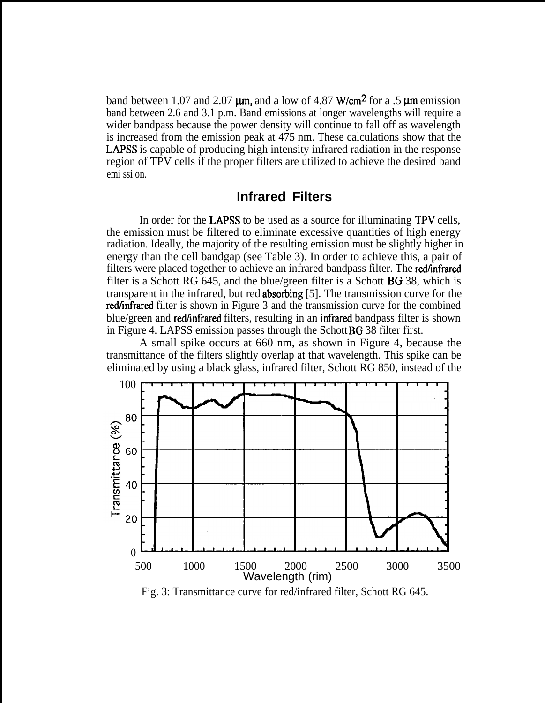band between 1.07 and 2.07  $\mu$ m, and a low of 4.87 W/cm<sup>2</sup> for a .5  $\mu$ m emission band between 2.6 and 3.1 p.m. Band emissions at longer wavelengths will require a wider bandpass because the power density will continue to fall off as wavelength is increased from the emission peak at 475 nm. These calculations show that the LAPSS is capable of producing high intensity infrared radiation in the response region of TPV cells if the proper filters are utilized to achieve the desired band emi ssi on.

### **Infrared Filters**

In order for the **LAPSS** to be used as a source for illuminating **TPV** cells, the emission must be filtered to eliminate excessive quantities of high energy radiation. Ideally, the majority of the resulting emission must be slightly higher in energy than the cell bandgap (see Table 3). In order to achieve this, a pair of filters were placed together to achieve an infrared bandpass filter. The red/infrared filter is a Schott RG 645, and the blue/green filter is a Schott BG 38, which is transparent in the infrared, but red **absorbing** [5]. The transmission curve for the red/hfrared filter is shown in Figure 3 and the transmission curve for the combined blue/green and **red/infrared** filters, resulting in an **infrared** bandpass filter is shown in Figure 4. LAPSS emission passes through the Schott BG 38 filter first.

A small spike occurs at 660 nm, as shown in Figure 4, because the transmittance of the filters slightly overlap at that wavelength. This spike can be eliminated by using a black glass, infrared filter, Schott RG 850, instead of the

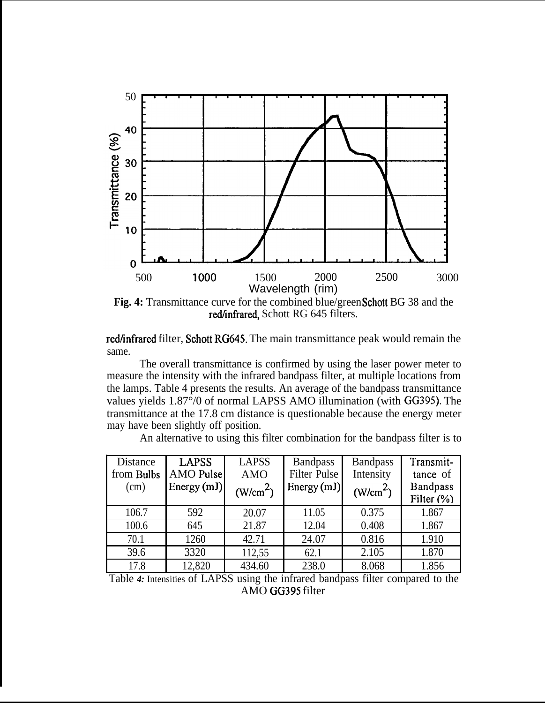

**Fig. 4:** Transmittance curve for the combined blue/green Schott BG 38 and the red/infrared, Schott RG 645 filters.

red/infrared filter, Schott RG645. The main transmittance peak would remain the same.

The overall transmittance is confirmed by using the laser power meter to measure the intensity with the infrared bandpass filter, at multiple locations from the lamps. Table 4 presents the results. An average of the bandpass transmittance values yields 1.87°/0 of normal LAPSS AMO illumination (with GG395). The transmittance at the 17.8 cm distance is questionable because the energy meter may have been slightly off position.

An alternative to using this filter combination for the bandpass filter is to

| Distance<br>from Bulbs<br>(cm) | <b>LAPSS</b><br>AMO Pulse<br>Energy $(mJ)$ | <b>LAPSS</b><br><b>AMO</b><br>(W/cm <sup>2</sup> ) | <b>Bandpass</b><br><b>Filter Pulse</b><br>Energy $(mJ)$ | <b>Bandpass</b><br>Intensity<br>(W/cm <sup>2</sup> ) | Transmit-<br>tance of<br><b>Bandpass</b><br>Filter $(\%)$ |
|--------------------------------|--------------------------------------------|----------------------------------------------------|---------------------------------------------------------|------------------------------------------------------|-----------------------------------------------------------|
| 106.7                          | 592                                        | 20.07                                              | 11.05                                                   | 0.375                                                | 1.867                                                     |
| 100.6                          | 645                                        | 21.87                                              | 12.04                                                   | 0.408                                                | 1.867                                                     |
| 70.1                           | 1260                                       | 42.71                                              | 24.07                                                   | 0.816                                                | 1.910                                                     |
| 39.6                           | 3320                                       | 112,55                                             | 62.1                                                    | 2.105                                                | 1.870                                                     |
| 17.8                           | 12,820                                     | 434.60                                             | 238.0                                                   | 8.068                                                | 1.856                                                     |

Table *4:* Intensities of LAPSS using the infrared bandpass filter compared to the AMO GG395 filter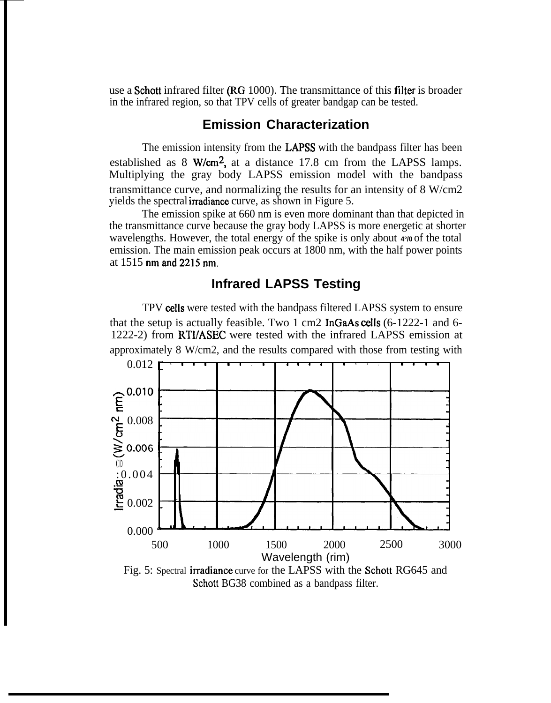use a Schott infrared filter (RG 1000). The transmittance of this filter is broader in the infrared region, so that TPV cells of greater bandgap can be tested.

# **Emission Characterization**

The emission intensity from the LAPSS with the bandpass filter has been established as 8 W/cm2, at a distance 17.8 cm from the LAPSS lamps. Multiplying the gray body LAPSS emission model with the bandpass transmittance curve, and normalizing the results for an intensity of 8 W/cm2 yields the spectral irradiance curve, as shown in Figure 5.

The emission spike at 660 nm is even more dominant than that depicted in the transmittance curve because the gray body LAPSS is more energetic at shorter wavelengths. However, the total energy of the spike is only about **4°/0** of the total emission. The main emission peak occurs at 1800 nm, with the half power points at  $1515$  nm and  $2215$  nm.

# **Infrared LAPSS Testing**

TPV cells were tested with the bandpass filtered LAPSS system to ensure that the setup is actually feasible. Two 1 cm2 InGaAs cells  $(6-1222-1)$  and 6-1222-2) from RTI/ASEC were tested with the infrared LAPSS emission at approximately 8 W/cm2, and the results compared with those from testing with



Fig. 5: Spectral irradiance curve for the LAPSS with the Schott RG645 and Schott BG38 combined as a bandpass filter.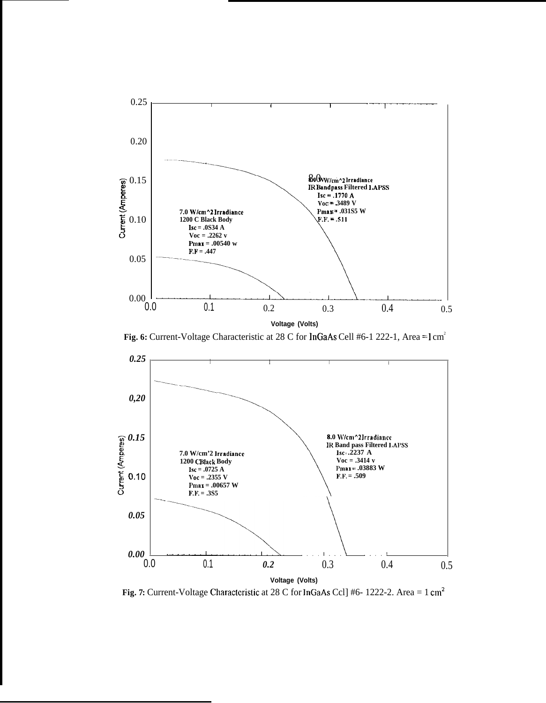

**Fig. &** Current-Voltage Characteristic at 28 C for InGaAs Cell #6-1 222-1, Area =1 cm<sup>2</sup>



**Fig. 7:** Current-Voltage Characteristic at 28 C for InGaAs Ccl] #6- 1222-2. Area = 1 cm<sup>2</sup>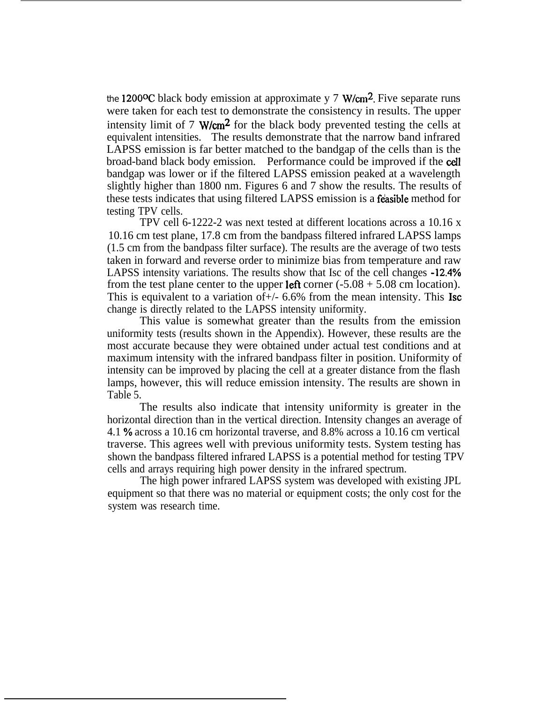the 1200 $\degree$ C black body emission at approximate y 7 W/cm<sup>2</sup>. Five separate runs were taken for each test to demonstrate the consistency in results. The upper intensity limit of 7 W/ $cm<sup>2</sup>$  for the black body prevented testing the cells at equivalent intensities. The results demonstrate that the narrow band infrared LAPSS emission is far better matched to the bandgap of the cells than is the broad-band black body emission. Performance could be improved if the cell bandgap was lower or if the filtered LAPSS emission peaked at a wavelength slightly higher than 1800 nm. Figures 6 and 7 show the results. The results of these tests indicates that using filtered LAPSS emission is a feasible method for testing TPV cells.

TPV cell 6-1222-2 was next tested at different locations across a 10.16 x 10.16 cm test plane, 17.8 cm from the bandpass filtered infrared LAPSS lamps (1.5 cm from the bandpass filter surface). The results are the average of two tests taken in forward and reverse order to minimize bias from temperature and raw LAPSS intensity variations. The results show that Isc of the cell changes  $-12.4\%$ from the test plane center to the upper left corner  $(-5.08 + 5.08)$  cm location). This is equivalent to a variation of  $+/- 6.6\%$  from the mean intensity. This Isc change is directly related to the LAPSS intensity uniformity.

This value is somewhat greater than the results from the emission uniformity tests (results shown in the Appendix). However, these results are the most accurate because they were obtained under actual test conditions and at maximum intensity with the infrared bandpass filter in position. Uniformity of intensity can be improved by placing the cell at a greater distance from the flash lamps, however, this will reduce emission intensity. The results are shown in Table 5.

The results also indicate that intensity uniformity is greater in the horizontal direction than in the vertical direction. Intensity changes an average of 4.1 % across a 10.16 cm horizontal traverse, and 8.8% across a 10.16 cm vertical traverse. This agrees well with previous uniformity tests. System testing has shown the bandpass filtered infrared LAPSS is a potential method for testing TPV cells and arrays requiring high power density in the infrared spectrum.

The high power infrared LAPSS system was developed with existing JPL equipment so that there was no material or equipment costs; the only cost for the system was research time.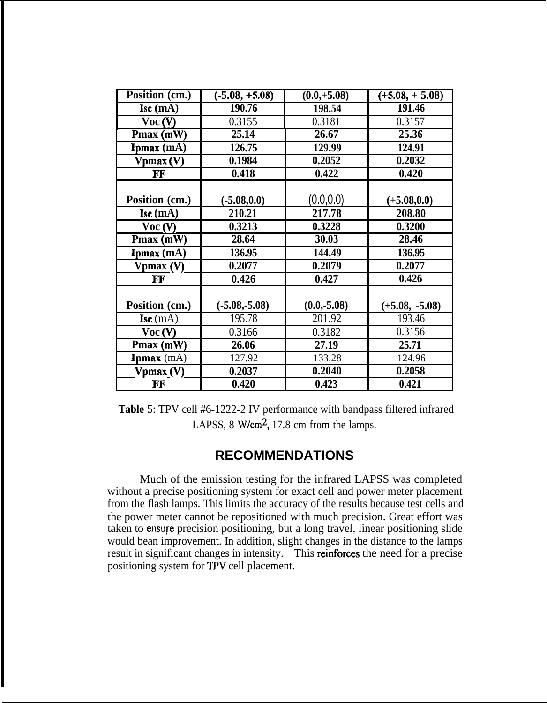| Position (cm.)                     | $(-5.08, +5.08)$ | $(0.0,+5.08)$ | $(+5.08, +5.08)$ |
|------------------------------------|------------------|---------------|------------------|
| $\mathbf{I}$ sc (mA)               | 190.76           | 198.54        | 191.46           |
| Voc (V)                            | 0.3155           | 0.3181        | 0.3157           |
| Pmax (mW)                          | 25.14            | 26.67         | 25.36            |
| Ipmax (mA)                         | 126.75           | 129.99        | 124.91           |
| Vpmax (V)                          | 0.1984           | 0.2052        | 0.2032           |
| FF                                 | 0.418            | 0.422         | 0.420            |
|                                    |                  |               |                  |
| Position (cm.)                     | $(-5.08, 0.0)$   | (0.0,0.0)     | $(+5.08, 0.0)$   |
| Isc $(mA)$                         | 210.21           | 217.78        | 208.80           |
| $\rm{Vec}(\bf{V})$                 | 0.3213           | 0.3228        | 0.3200           |
| Pmax (mW)                          | 28.64            | 30.03         | 28.46            |
| $\mathbf{Imax}(\mathbf{mA})$       | 136.95           | 144.49        | 136.95           |
| Vpmax (V)                          | 0.2077           | 0.2079        | 0.2077           |
| FF                                 | 0.426            | 0.427         | 0.426            |
|                                    |                  |               |                  |
| $\overline{\text{Position}}$ (cm.) | $(-5.08,-5.08)$  | $(0.0,-5.08)$ | $(+5.08, -5.08)$ |
| <b>Isc</b> $(mA)$                  | 195.78           | 201.92        | 193.46           |
| $\rm{Vec}$ (V)                     | 0.3166           | 0.3182        | 0.3156           |
| Pmax (mW)                          | 26.06            | 27.19         | 25.71            |
| Ipmax $(mA)$                       | 127.92           | 133.28        | 124.96           |
| Vpmax (V)                          | 0.2037           | 0.2040        | 0.2058           |
| FF                                 | 0.420            | 0.423         | 0.421            |

**Table** 5: TPV cell #6-1222-2 IV performance with bandpass filtered infrared LAPSS, 8 W/cm<sup>2</sup>, 17.8 cm from the lamps.

# **RECOMMENDATIONS**

Much of the emission testing for the infrared LAPSS was completed without a precise positioning system for exact cell and power meter placement from the flash lamps. This limits the accuracy of the results because test cells and the power meter cannot be repositioned with much precision. Great effort was taken to ensure precision positioning, but a long travel, linear positioning slide would bean improvement. In addition, slight changes in the distance to the lamps result in significant changes in intensity. This reinforces the need for a precise positioning system for TPV cell placement.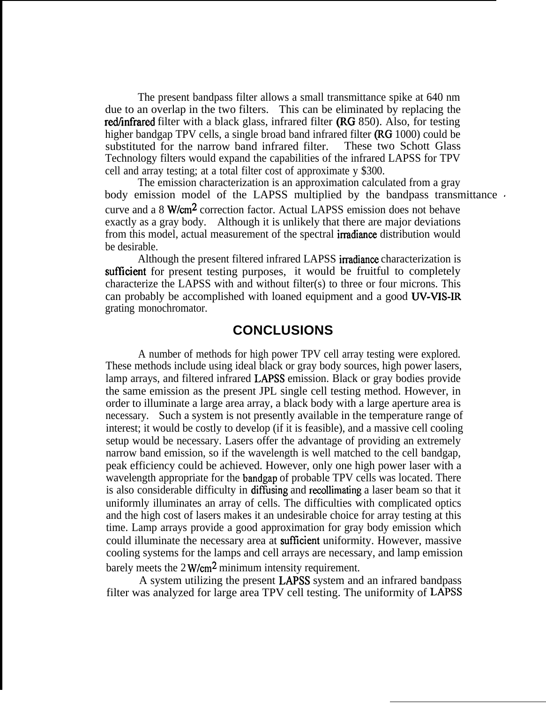The present bandpass filter allows a small transmittance spike at 640 nm due to an overlap in the two filters. This can be eliminated by replacing the red/infrared filter with a black glass, infrared filter (RG 850). Also, for testing higher bandgap TPV cells, a single broad band infrared filter (RG 1000) could be substituted for the narrow band infrared filter. These two Schott Glass Technology filters would expand the capabilities of the infrared LAPSS for TPV cell and array testing; at a total filter cost of approximate y \$300.

The emission characterization is an approximation calculated from a gray body emission model of the LAPSS multiplied by the bandpass transmittance  $\cdot$ curve and a 8 W/cm2 correction factor. Actual LAPSS emission does not behave exactly as a gray body. Although it is unlikely that there are major deviations from this model, actual measurement of the spectral irradiance distribution would be desirable.

Although the present filtered infrared LAPSS irradiance characterization is sufficient for present testing purposes, it would be fruitful to completely characterize the LAPSS with and without filter(s) to three or four microns. This can probably be accomplished with loaned equipment and a good *W-VIS-IR* grating monochromator.

#### **CONCLUSIONS**

A number of methods for high power TPV cell array testing were explored. These methods include using ideal black or gray body sources, high power lasers, lamp arrays, and filtered infrared LAPSS emission. Black or gray bodies provide the same emission as the present JPL single cell testing method. However, in order to illuminate a large area array, a black body with a large aperture area is necessary. Such a system is not presently available in the temperature range of interest; it would be costly to develop (if it is feasible), and a massive cell cooling setup would be necessary. Lasers offer the advantage of providing an extremely narrow band emission, so if the wavelength is well matched to the cell bandgap, peak efficiency could be achieved. However, only one high power laser with a wavelength appropriate for the bandgap of probable TPV cells was located. There is also considerable difficulty in difising and recollimating a laser beam so that it uniformly illuminates an array of cells. The difficulties with complicated optics and the high cost of lasers makes it an undesirable choice for array testing at this time. Lamp arrays provide a good approximation for gray body emission which could illuminate the necessary area at sufficient uniformity. However, massive cooling systems for the lamps and cell arrays are necessary, and lamp emission barely meets the 2 W/cm2 minimum intensity requirement.

A system utilizing the present LAPSS system and an infrared bandpass filter was analyzed for large area TPV cell testing. The uniformity of LAPSS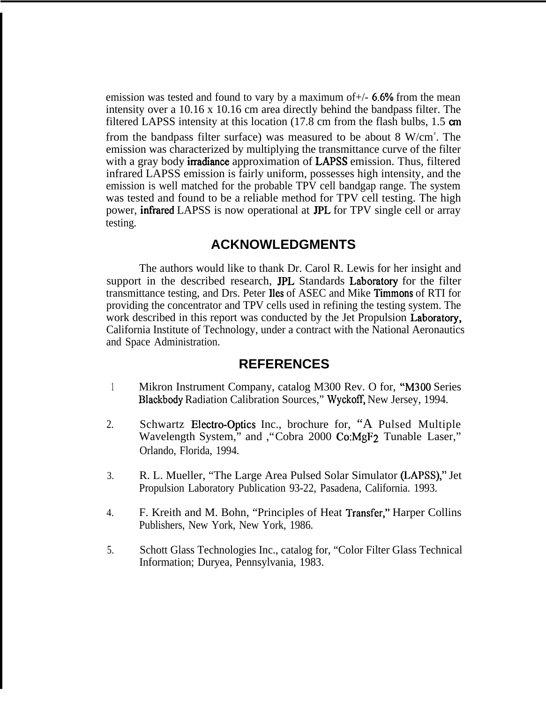emission was tested and found to vary by a maximum of $+/-$  6.6% from the mean intensity over a 10.16 x 10.16 cm area directly behind the bandpass filter. The filtered LAPSS intensity at this location (17.8 cm from the flash bulbs, 1.5 an from the bandpass filter surface) was measured to be about 8 W/cm<sup>2</sup>. The emission was characterized by multiplying the transmittance curve of the filter with a gray body **irradiance** approximation of **LAPSS** emission. Thus, filtered infrared LAPSS emission is fairly uniform, possesses high intensity, and the emission is well matched for the probable TPV cell bandgap range. The system was tested and found to be a reliable method for TPV cell testing. The high power, infrared LAPSS is now operational at JPL for TPV single cell or array testing.

# **ACKNOWLEDGMENTS**

The authors would like to thank Dr. Carol R. Lewis for her insight and support in the described research, JPL Standards Laboratory for the filter transmittance testing, and Drs. Peter Iles of ASEC and Mike Timmons of RTI for providing the concentrator and TPV cells used in refining the testing system. The work described in this report was conducted by the Jet Propulsion Laboratory, California Institute of Technology, under a contract with the National Aeronautics and Space Administration.

# **REFERENCES**

- 1 Mikron Instrument Company, catalog M300 Rev. O for, "M300 Series Blackbody Radiation Calibration Sources," Wyckoff, New Jersey, 1994.
- $2<sub>1</sub>$ Schwartz Electro-Optics Inc., brochure for, "A Pulsed Multiple Wavelength System," and ,"Cobra 2000 Co:MgF<sub>2</sub> Tunable Laser," Orlando, Florida, 1994.
- 3. R. L. Mueller, "The Large Area Pulsed Solar Simulator (LAPSS)," Jet Propulsion Laboratory Publication 93-22, Pasadena, California. 1993.
- 4. F. Kreith and M. Bohn, "Principles of Heat Transfer," Harper Collins Publishers, New York, New York, 1986.
- 5. Schott Glass Technologies Inc., catalog for, "Color Filter Glass Technical Information; Duryea, Pennsylvania, 1983.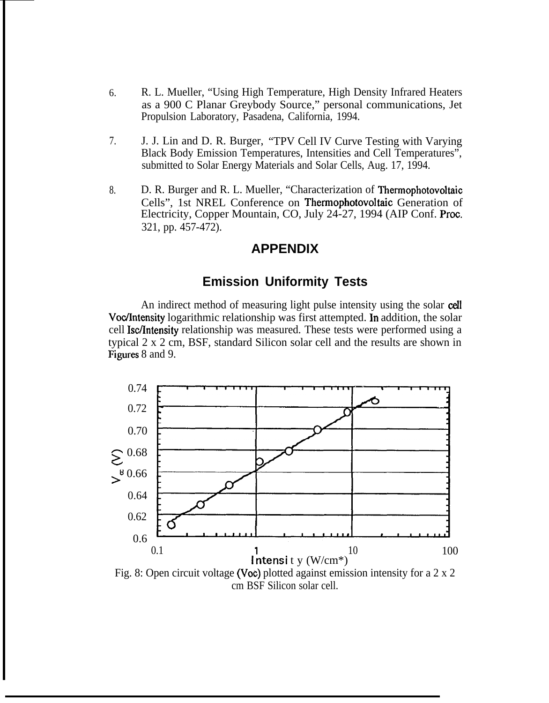- 6. R. L. Mueller, "Using High Temperature, High Density Infrared Heaters as a 900 C Planar Greybody Source," personal communications, Jet Propulsion Laboratory, Pasadena, California, 1994.
- 7. J. J. Lin and D. R. Burger, "TPV Cell IV Curve Testing with Varying Black Body Emission Temperatures, Intensities and Cell Temperatures", submitted to Solar Energy Materials and Solar Cells, Aug. 17, 1994.
- 8. D. R. Burger and R. L. Mueller, "Characterization of Thermophotovoltaic Cells", 1st NREL Conference on Thermophotovoltaic Generation of Electricity, Copper Mountain, CO, July 24-27, 1994 (AIP Conf. Proc. 321, pp. 457-472).

# **APPENDIX**

# **Emission Uniformity Tests**

An indirect method of measuring light pulse intensity using the solar cell Voc/Intensity logarithmic relationship was first attempted. In addition, the solar cell Isc/Intensity relationship was measured. These tests were performed using a typical 2 x 2 cm, BSF, standard Silicon solar cell and the results are shown in Figures 8 and 9.



Fig. 8: Open circuit voltage (Voc) plotted against emission intensity for a 2 x 2 cm BSF Silicon solar cell.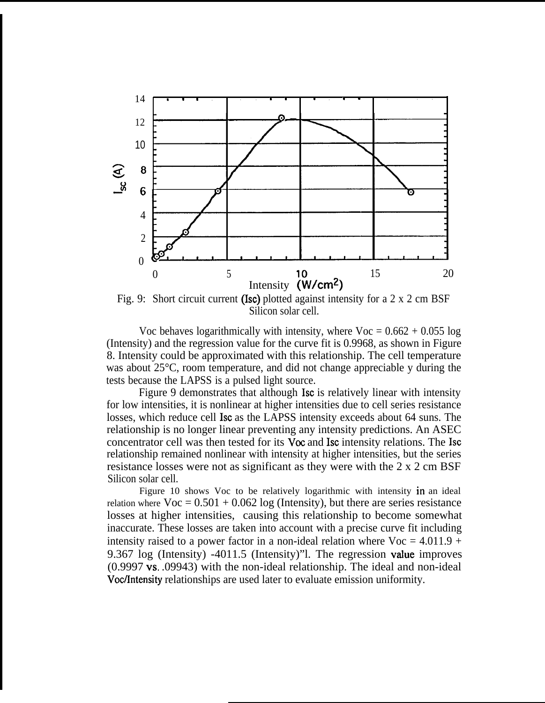

Fig. 9: Short circuit current (Isc) plotted against intensity for a 2 x 2 cm BSF Silicon solar cell.

Voc behaves logarithmically with intensity, where  $V_{\text{OC}} = 0.662 + 0.055 \log n$ (Intensity) and the regression value for the curve fit is 0.9968, as shown in Figure 8. Intensity could be approximated with this relationship. The cell temperature was about 25°C, room temperature, and did not change appreciable y during the tests because the LAPSS is a pulsed light source.

Figure 9 demonstrates that although Isc is relatively linear with intensity for low intensities, it is nonlinear at higher intensities due to cell series resistance losses, which reduce cell Isc as the LAPSS intensity exceeds about 64 suns. The relationship is no longer linear preventing any intensity predictions. An ASEC concentrator cell was then tested for its Voc and Isc intensity relations. The Isc relationship remained nonlinear with intensity at higher intensities, but the series resistance losses were not as significant as they were with the 2 x 2 cm BSF Silicon solar cell.

Figure 10 shows Voc to be relatively logarithmic with intensity in an ideal relation where  $Voc = 0.501 + 0.062 \log$  (Intensity), but there are series resistance losses at higher intensities, causing this relationship to become somewhat inaccurate. These losses are taken into account with a precise curve fit including intensity raised to a power factor in a non-ideal relation where  $V_{\text{OC}} = 4.011.9 +$ 9.367 log (Intensity) -4011.5 (Intensity)"l. The regression value improves (0.9997 vs. .09943) with the non-ideal relationship. The ideal and non-ideal Voc/Intensity relationships are used later to evaluate emission uniformity.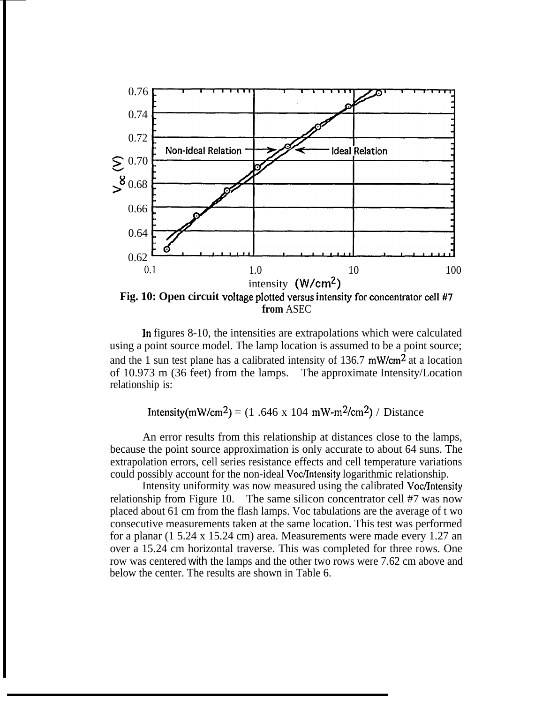

**from** ASEC

h figures 8-10, the intensities are extrapolations which were calculated using a point source model. The lamp location is assumed to be a point source; and the 1 sun test plane has a calibrated intensity of 136.7 mW/cm2 at a location of 10.973 m (36 feet) from the lamps. The approximate Intensity/Location relationship is:

# Intensity(mW/cm<sup>2</sup>) = (1.646 x 104 mW-m<sup>2</sup>/cm<sup>2</sup>) / Distance

An error results from this relationship at distances close to the lamps, because the point source approximation is only accurate to about 64 suns. The extrapolation errors, cell series resistance effects and cell temperature variations could possibly account for the non-ideal Voc/Intensity logarithmic relationship.

Intensity uniformity was now measured using the calibrated Voc/Intensity relationship from Figure 10. The same silicon concentrator cell #7 was now placed about 61 cm from the flash lamps. Voc tabulations are the average of t wo consecutive measurements taken at the same location. This test was performed for a planar (1 5.24 x 15.24 cm) area. Measurements were made every 1.27 an over a 15.24 cm horizontal traverse. This was completed for three rows. One row was centered with the lamps and the other two rows were 7.62 cm above and below the center. The results are shown in Table 6.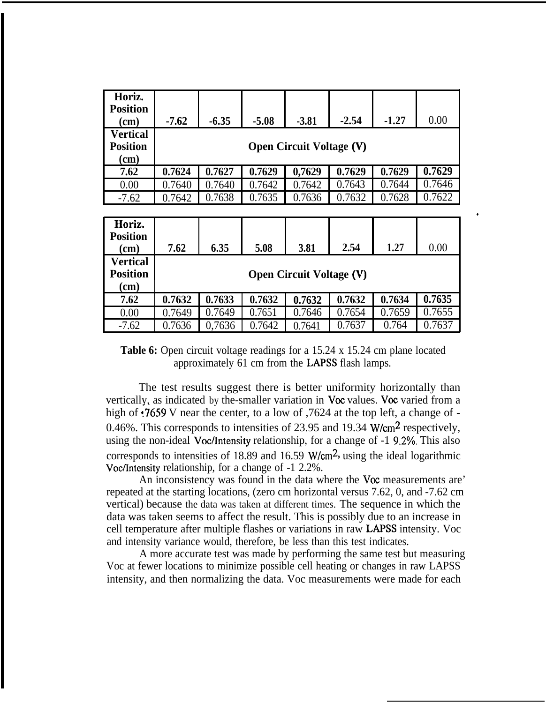| Horiz.          |         |         |         |                                 |         |         |        |
|-----------------|---------|---------|---------|---------------------------------|---------|---------|--------|
| <b>Position</b> |         |         |         |                                 |         |         |        |
| (cm)            | $-7.62$ | $-6.35$ | $-5.08$ | $-3.81$                         | $-2.54$ | $-1.27$ | 0.00   |
| <b>Vertical</b> |         |         |         |                                 |         |         |        |
| <b>Position</b> |         |         |         | <b>Open Circuit Voltage (V)</b> |         |         |        |
| $\mathbf{(cm)}$ |         |         |         |                                 |         |         |        |
| 7.62            | 0.7624  | 0.7627  | 0.7629  | 0,7629                          | 0.7629  | 0.7629  | 0.7629 |
| 0.00            | 0.7640  | 0.7640  | 0.7642  | 0.7642                          | 0.7643  | 0.7644  | 0.7646 |
| $-7.62$         | 0.7642  | 0.7638  | 0.7635  | 0.7636                          | 0.7632  | 0.7628  | 0.7622 |
|                 |         |         |         |                                 |         |         |        |
| Horiz.          |         |         |         |                                 |         |         |        |
| <b>Position</b> |         |         |         |                                 |         |         |        |
| $\mathbf{(cm)}$ | 7.62    | 6.35    | 5.08    | 3.81                            | 2.54    | 1.27    | 0.00   |
| Vertical        |         |         |         |                                 |         |         |        |
| <b>Position</b> |         |         |         | <b>Open Circuit Voltage (V)</b> |         |         |        |
| $\mathbf{(cm)}$ |         |         |         |                                 |         |         |        |
| 7.62            | 0.7632  | 0.7633  | 0.7632  | 0.7632                          | 0.7632  | 0.7634  | 0.7635 |
| 0.00            | 0.7649  | 0.7649  | 0.7651  | 0.7646                          | 0.7654  | 0.7659  | 0.7655 |
| $-7.62$         | 0.7636  | 0.7636  | 0.7642  | 0.7641                          | 0.7637  | 0.764   | 0.7637 |

.

**Table 6:** Open circuit voltage readings for a 15.24 x 15.24 cm plane located approximately 61 cm from the LAPSS flash lamps.

The test results suggest there is better uniformity horizontally than vertically, as indicated by the-smaller variation in Voc values. Voc varied from a high of **;7659** V near the center, to a low of ,7624 at the top left, a change of - 0.46%. This corresponds to intensities of 23.95 and 19.34 W/cm2 respectively, using the non-ideal Voc/Intensity relationship, for a change of -1 9.2%. This also corresponds to intensities of 18.89 and 16.59 W/cm<sup>2</sup>, using the ideal logarithmic Voc/Intensity relationship, for a change of -1 2.2%.

An inconsistency was found in the data where the Voc measurements are' repeated at the starting locations, (zero cm horizontal versus 7.62, 0, and -7.62 cm vertical) because the data was taken at different times. The sequence in which the data was taken seems to affect the result. This is possibly due to an increase in cell temperature after multiple flashes or variations in raw LAPSS intensity. Voc and intensity variance would, therefore, be less than this test indicates.

A more accurate test was made by performing the same test but measuring Voc at fewer locations to minimize possible cell heating or changes in raw LAPSS intensity, and then normalizing the data. Voc measurements were made for each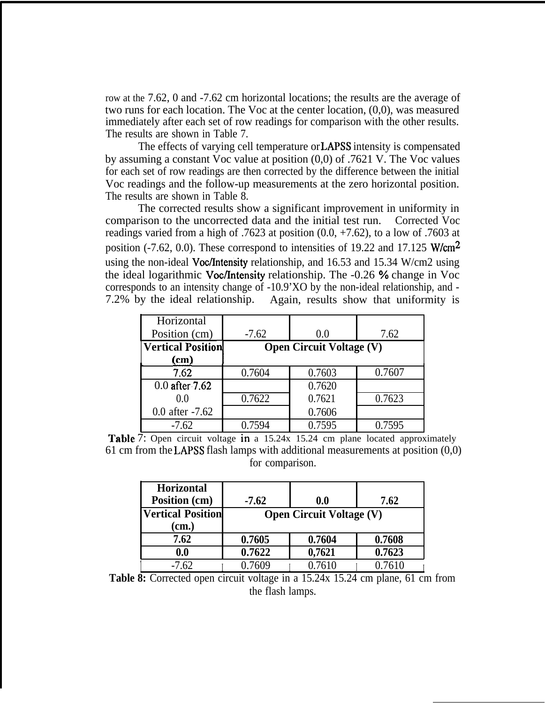row at the 7.62, 0 and -7.62 cm horizontal locations; the results are the average of two runs for each location. The Voc at the center location, (0,0), was measured immediately after each set of row readings for comparison with the other results. The results are shown in Table 7.

The effects of varying cell temperature or LAPSS intensity is compensated by assuming a constant Voc value at position (0,0) of .7621 V. The Voc values for each set of row readings are then corrected by the difference between the initial Voc readings and the follow-up measurements at the zero horizontal position. The results are shown in Table 8.

The corrected results show a significant improvement in uniformity in comparison to the uncorrected data and the initial test run. Corrected Voc readings varied from a high of .7623 at position  $(0.0, +7.62)$ , to a low of .7603 at position (-7.62, 0.0). These correspond to intensities of 19.22 and 17.125 W/cm<sup>2</sup> using the non-ideal Voc/Intensity relationship, and 16.53 and 15.34 W/cm2 using the ideal logarithmic Voc/Intensity relationship. The -0.26 % change in Voc corresponds to an intensity change of -10.9'XO by the non-ideal relationship, and - 7.2% by the ideal relationship. Again, results show that uniformity is

| Horizontal               |         |                                 |        |
|--------------------------|---------|---------------------------------|--------|
| Position (cm)            | $-7.62$ | 0.0                             | 7.62   |
| <b>Vertical Position</b> |         | <b>Open Circuit Voltage (V)</b> |        |
| (cm)                     |         |                                 |        |
| 7.62                     | 0.7604  | 0.7603                          | 0.7607 |
| $0.0$ after 7.62         |         | 0.7620                          |        |
| 0.0                      | 0.7622  | 0.7621                          | 0.7623 |
| $0.0$ after $-7.62$      |         | 0.7606                          |        |
| $-7.62$                  | 0.7594  | 0.7595                          | 0.7595 |

**Table** 7: Open circuit voltage in a 15.24x 15.24 cm plane located approximately 61 cm from the LAPSS flash lamps with additional measurements at position (0,0) for comparison.

| <b>Horizontal</b><br>Position (cm) | $-7.62$ | 0.0                             | 7.62   |  |  |  |
|------------------------------------|---------|---------------------------------|--------|--|--|--|
| <b>Vertical Position</b><br>(cm.)  |         | <b>Open Circuit Voltage (V)</b> |        |  |  |  |
| 7.62                               | 0.7605  | 0.7604                          | 0.7608 |  |  |  |
| 0.0                                | 0.7622  | 0,7621                          | 0.7623 |  |  |  |
| $-7.62$                            | 0.7609  | 0.7610                          | 0.7610 |  |  |  |

**Table 8:** Corrected open circuit voltage in a 15.24x 15.24 cm plane, 61 cm from the flash lamps.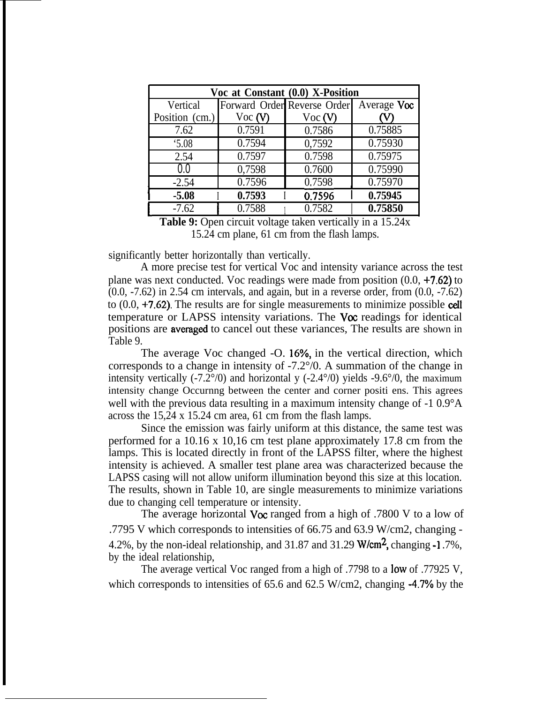| Voc at Constant (0.0) X-Position |           |                             |             |  |  |  |
|----------------------------------|-----------|-----------------------------|-------------|--|--|--|
| Vertical                         |           | Forward Order Reverse Order | Average Voc |  |  |  |
| Position (cm.)                   | $Voc$ (V) | Voc(V)                      |             |  |  |  |
| 7.62                             | 0.7591    | 0.7586                      | 0.75885     |  |  |  |
| 5.08                             | 0.7594    | 0,7592                      | 0.75930     |  |  |  |
| 2.54                             | 0.7597    | 0.7598                      | 0.75975     |  |  |  |
| 0.0                              | 0,7598    | 0.7600                      | 0.75990     |  |  |  |
| $-2.54$                          | 0.7596    | 0.7598                      | 0.75970     |  |  |  |
| $-5.08$                          | 0.7593    | 0.7596                      | 0.75945     |  |  |  |
| $-7.62$                          | 0.7588    | 0.7582                      | 0.75850     |  |  |  |

**Table 9:** Open circuit voltage taken vertically in a 15.24x 15.24 cm plane, 61 cm from the flash lamps.

significantly better horizontally than vertically.

A more precise test for vertical Voc and intensity variance across the test plane was next conducted. Voc readings were made from position (0.0, +7.62) to  $(0.0, -7.62)$  in 2.54 cm intervals, and again, but in a reverse order, from  $(0.0, -7.62)$ to (0.0, +7.62). The results are for single measurements to minimize possible cell temperature or LAPSS intensity variations. The Voe readings for identical positions are avemged to cancel out these variances, The results are shown in Table 9.

The average Voc changed -O. 16%, in the vertical direction, which corresponds to a change in intensity of -7.2°/0. A summation of the change in intensity vertically  $(-7.2^{\circ}/0)$  and horizontal y  $(-2.4^{\circ}/0)$  yields  $-9.6^{\circ}/0$ , the maximum intensity change Occurnng between the center and corner positi ens. This agrees well with the previous data resulting in a maximum intensity change of -1 0.9<sup>o</sup>A across the 15,24 x 15.24 cm area, 61 cm from the flash lamps.

Since the emission was fairly uniform at this distance, the same test was performed for a 10.16 x 10,16 cm test plane approximately 17.8 cm from the lamps. This is located directly in front of the LAPSS filter, where the highest intensity is achieved. A smaller test plane area was characterized because the LAPSS casing will not allow uniform illumination beyond this size at this location. The results, shown in Table 10, are single measurements to minimize variations due to changing cell temperature or intensity.

The average horizontal Voc ranged from a high of  $.7800$  V to a low of .7795 V which corresponds to intensities of 66.75 and 63.9 W/cm2, changing - 4.2%, by the non-ideal relationship, and 31.87 and 31.29 W/cm2, changing -1 .7%, by the ideal relationship,

The average vertical Voc ranged from a high of .7798 to a low of .77925 V, which corresponds to intensities of  $65.6$  and  $62.5$  W/cm2, changing  $-4.7\%$  by the